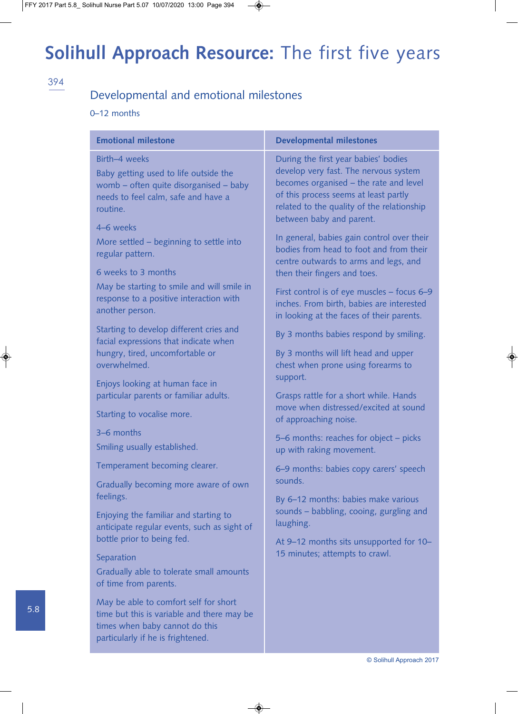#### 394

#### Developmental and emotional milestones

#### 0–12 months

| <b>Emotional milestone</b>                                                                                                                                 | <b>Developmental milestones</b>                                                                                                                                                                                                            |
|------------------------------------------------------------------------------------------------------------------------------------------------------------|--------------------------------------------------------------------------------------------------------------------------------------------------------------------------------------------------------------------------------------------|
| Birth-4 weeks<br>Baby getting used to life outside the<br>womb - often quite disorganised - baby<br>needs to feel calm, safe and have a<br>routine.        | During the first year babies' bodies<br>develop very fast. The nervous system<br>becomes organised - the rate and level<br>of this process seems at least partly<br>related to the quality of the relationship<br>between baby and parent. |
| 4-6 weeks<br>More settled - beginning to settle into<br>regular pattern.<br>6 weeks to 3 months                                                            | In general, babies gain control over their<br>bodies from head to foot and from their<br>centre outwards to arms and legs, and<br>then their fingers and toes.                                                                             |
| May be starting to smile and will smile in<br>response to a positive interaction with<br>another person.                                                   | First control is of eye muscles - focus 6-9<br>inches. From birth, babies are interested<br>in looking at the faces of their parents.                                                                                                      |
| Starting to develop different cries and<br>facial expressions that indicate when                                                                           | By 3 months babies respond by smiling.                                                                                                                                                                                                     |
| hungry, tired, uncomfortable or<br>overwhelmed.                                                                                                            | By 3 months will lift head and upper<br>chest when prone using forearms to                                                                                                                                                                 |
| Enjoys looking at human face in<br>particular parents or familiar adults.                                                                                  | support.<br>Grasps rattle for a short while. Hands                                                                                                                                                                                         |
| Starting to vocalise more.                                                                                                                                 | move when distressed/excited at sound<br>of approaching noise.                                                                                                                                                                             |
| 3-6 months                                                                                                                                                 | 5–6 months: reaches for object – picks                                                                                                                                                                                                     |
| Smiling usually established.                                                                                                                               | up with raking movement.                                                                                                                                                                                                                   |
| Temperament becoming clearer.                                                                                                                              | 6-9 months: babies copy carers' speech                                                                                                                                                                                                     |
| Gradually becoming more aware of own<br>feelings.                                                                                                          | sounds.                                                                                                                                                                                                                                    |
| Enjoying the familiar and starting to<br>anticipate regular events, such as sight of                                                                       | By 6-12 months: babies make various<br>sounds - babbling, cooing, gurgling and<br>laughing.                                                                                                                                                |
| bottle prior to being fed.                                                                                                                                 | At 9-12 months sits unsupported for 10-                                                                                                                                                                                                    |
| Separation<br>Gradually able to tolerate small amounts<br>of time from parents.                                                                            | 15 minutes; attempts to crawl.                                                                                                                                                                                                             |
| May be able to comfort self for short<br>time but this is variable and there may be<br>times when baby cannot do this<br>particularly if he is frightened. |                                                                                                                                                                                                                                            |

5.8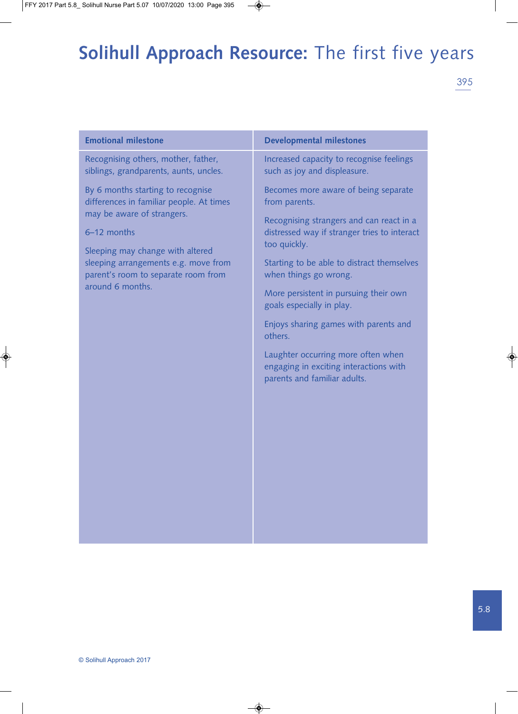| <b>Emotional milestone</b>                                                                                                                                                                                                                                        | <b>Developmental milestones</b>                                                                              |
|-------------------------------------------------------------------------------------------------------------------------------------------------------------------------------------------------------------------------------------------------------------------|--------------------------------------------------------------------------------------------------------------|
| Recognising others, mother, father,<br>siblings, grandparents, aunts, uncles.                                                                                                                                                                                     | Increased capacity to recognise feelings<br>such as joy and displeasure.                                     |
| By 6 months starting to recognise<br>differences in familiar people. At times<br>may be aware of strangers.<br>6-12 months<br>Sleeping may change with altered<br>sleeping arrangements e.g. move from<br>parent's room to separate room from<br>around 6 months. | Becomes more aware of being separate<br>from parents.<br>Recognising strangers and can react in a            |
|                                                                                                                                                                                                                                                                   | distressed way if stranger tries to interact<br>too quickly.                                                 |
|                                                                                                                                                                                                                                                                   | Starting to be able to distract themselves<br>when things go wrong.                                          |
|                                                                                                                                                                                                                                                                   | More persistent in pursuing their own<br>goals especially in play.                                           |
|                                                                                                                                                                                                                                                                   | Enjoys sharing games with parents and<br>others.                                                             |
|                                                                                                                                                                                                                                                                   | Laughter occurring more often when<br>engaging in exciting interactions with<br>parents and familiar adults. |
|                                                                                                                                                                                                                                                                   |                                                                                                              |
|                                                                                                                                                                                                                                                                   |                                                                                                              |
|                                                                                                                                                                                                                                                                   |                                                                                                              |
|                                                                                                                                                                                                                                                                   |                                                                                                              |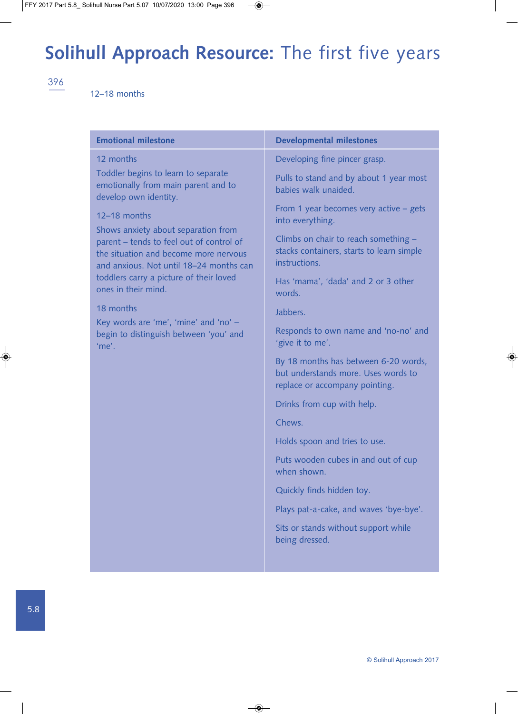396

#### 12–18 months

| <b>Emotional milestone</b>                                                                                                                                          | <b>Developmental milestones</b>                                                                               |
|---------------------------------------------------------------------------------------------------------------------------------------------------------------------|---------------------------------------------------------------------------------------------------------------|
| 12 months                                                                                                                                                           | Developing fine pincer grasp.                                                                                 |
| Toddler begins to learn to separate<br>emotionally from main parent and to<br>develop own identity.                                                                 | Pulls to stand and by about 1 year most<br>babies walk unaided.                                               |
| 12-18 months                                                                                                                                                        | From 1 year becomes very active $-$ gets<br>into everything.                                                  |
| Shows anxiety about separation from<br>parent - tends to feel out of control of<br>the situation and become more nervous<br>and anxious. Not until 18-24 months can | Climbs on chair to reach something -<br>stacks containers, starts to learn simple<br>instructions.            |
| toddlers carry a picture of their loved<br>ones in their mind.                                                                                                      | Has 'mama', 'dada' and 2 or 3 other<br>words.                                                                 |
| 18 months                                                                                                                                                           | Jabbers.                                                                                                      |
| Key words are 'me', 'mine' and 'no' -<br>begin to distinguish between 'you' and<br>'me'.                                                                            | Responds to own name and 'no-no' and<br>'give it to me'.                                                      |
|                                                                                                                                                                     | By 18 months has between 6-20 words,<br>but understands more. Uses words to<br>replace or accompany pointing. |
|                                                                                                                                                                     | Drinks from cup with help.                                                                                    |
|                                                                                                                                                                     | Chews.                                                                                                        |
|                                                                                                                                                                     | Holds spoon and tries to use.                                                                                 |
|                                                                                                                                                                     | Puts wooden cubes in and out of cup<br>when shown.                                                            |
|                                                                                                                                                                     | Quickly finds hidden toy.                                                                                     |
|                                                                                                                                                                     | Plays pat-a-cake, and waves 'bye-bye'.                                                                        |
|                                                                                                                                                                     | Sits or stands without support while<br>being dressed.                                                        |
|                                                                                                                                                                     |                                                                                                               |
|                                                                                                                                                                     |                                                                                                               |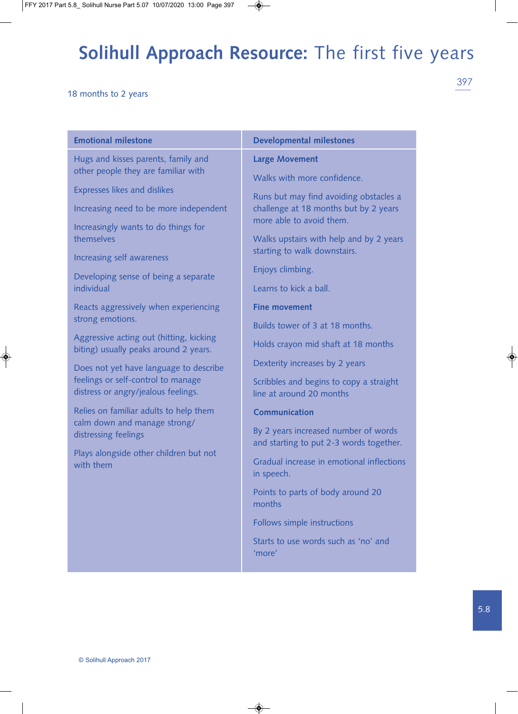#### 18 months to 2 years

| <b>Emotional milestone</b>                                                                                                                            | <b>Developmental milestones</b>                                                 |
|-------------------------------------------------------------------------------------------------------------------------------------------------------|---------------------------------------------------------------------------------|
| Hugs and kisses parents, family and                                                                                                                   | <b>Large Movement</b>                                                           |
| other people they are familiar with                                                                                                                   | Walks with more confidence.                                                     |
| <b>Expresses likes and dislikes</b>                                                                                                                   | Runs but may find avoiding obstacles a                                          |
| Increasing need to be more independent                                                                                                                | challenge at 18 months but by 2 years<br>more able to avoid them.               |
| Increasingly wants to do things for                                                                                                                   |                                                                                 |
| themselves                                                                                                                                            | Walks upstairs with help and by 2 years<br>starting to walk downstairs.         |
| Increasing self awareness                                                                                                                             | Enjoys climbing.                                                                |
| Developing sense of being a separate<br>individual                                                                                                    | Learns to kick a ball.                                                          |
| Reacts aggressively when experiencing                                                                                                                 | <b>Fine movement</b>                                                            |
| strong emotions.                                                                                                                                      | Builds tower of 3 at 18 months.                                                 |
| Aggressive acting out (hitting, kicking                                                                                                               | Holds crayon mid shaft at 18 months                                             |
| biting) usually peaks around 2 years.                                                                                                                 | Dexterity increases by 2 years                                                  |
| Does not yet have language to describe<br>feelings or self-control to manage                                                                          | Scribbles and begins to copy a straight                                         |
| distress or angry/jealous feelings.                                                                                                                   | line at around 20 months                                                        |
| Relies on familiar adults to help them<br>calm down and manage strong/<br>distressing feelings<br>Plays alongside other children but not<br>with them | <b>Communication</b>                                                            |
|                                                                                                                                                       | By 2 years increased number of words<br>and starting to put 2-3 words together. |
|                                                                                                                                                       | Gradual increase in emotional inflections<br>in speech.                         |
|                                                                                                                                                       | Points to parts of body around 20<br>months                                     |
|                                                                                                                                                       | Follows simple instructions                                                     |
|                                                                                                                                                       | Starts to use words such as 'no' and<br>'more'                                  |
|                                                                                                                                                       |                                                                                 |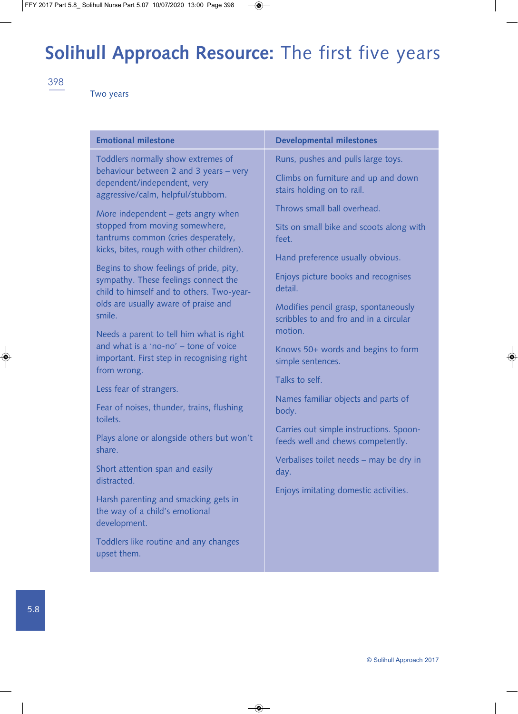398

Two years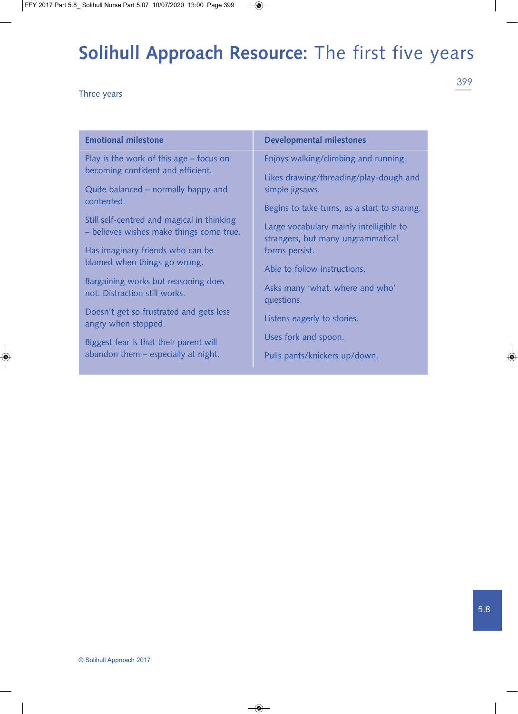Three years

| <b>Emotional milestone</b>                                           | <b>Developmental milestones</b>                                              |
|----------------------------------------------------------------------|------------------------------------------------------------------------------|
| Play is the work of this age – focus on                              | Enjoys walking/climbing and running.                                         |
| becoming confident and efficient.                                    | Likes drawing/threading/play-dough and                                       |
| Quite balanced – normally happy and<br>contented.                    | simple jigsaws.                                                              |
| Still self-centred and magical in thinking                           | Begins to take turns, as a start to sharing.                                 |
| - believes wishes make things come true.                             | Large vocabulary mainly intelligible to<br>strangers, but many ungrammatical |
| Has imaginary friends who can be                                     | forms persist.                                                               |
| blamed when things go wrong.                                         | Able to follow instructions.                                                 |
| Bargaining works but reasoning does<br>not. Distraction still works. | Asks many 'what, where and who'<br>questions.                                |
| Doesn't get so frustrated and gets less<br>angry when stopped.       | Listens eagerly to stories.                                                  |
| Biggest fear is that their parent will                               | Uses fork and spoon.                                                         |
| abandon them – especially at night.                                  | Pulls pants/knickers up/down.                                                |

5.8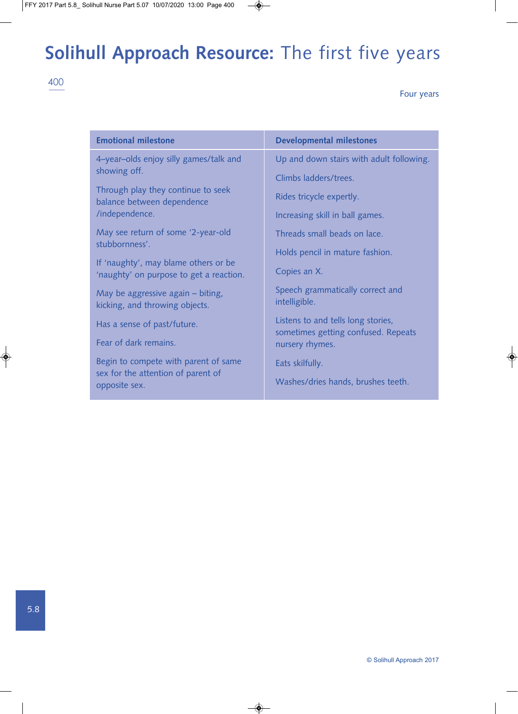#### Four years

| <b>Emotional milestone</b>                                                      | <b>Developmental milestones</b>                                           |
|---------------------------------------------------------------------------------|---------------------------------------------------------------------------|
| 4-year-olds enjoy silly games/talk and                                          | Up and down stairs with adult following.                                  |
| showing off.                                                                    | Climbs ladders/trees.                                                     |
| Through play they continue to seek<br>balance between dependence                | Rides tricycle expertly.                                                  |
| /independence.                                                                  | Increasing skill in ball games.                                           |
| May see return of some '2-year-old<br>stubbornness'.                            | Threads small beads on lace.                                              |
|                                                                                 | Holds pencil in mature fashion.                                           |
| If 'naughty', may blame others or be<br>'naughty' on purpose to get a reaction. | Copies an X.                                                              |
| May be aggressive again - biting,<br>kicking, and throwing objects.             | Speech grammatically correct and<br>intelligible.                         |
| Has a sense of past/future.                                                     | Listens to and tells long stories,<br>sometimes getting confused. Repeats |
| Fear of dark remains.                                                           | nursery rhymes.                                                           |
| Begin to compete with parent of same                                            | Eats skilfully.                                                           |
| sex for the attention of parent of<br>opposite sex.                             | Washes/dries hands, brushes teeth.                                        |